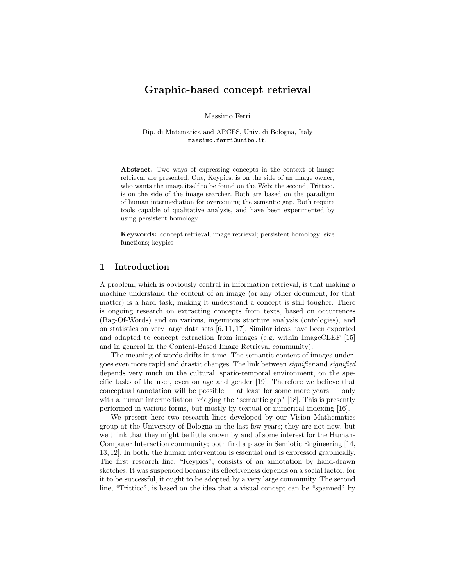# Graphic-based concept retrieval

Massimo Ferri

Dip. di Matematica and ARCES, Univ. di Bologna, Italy massimo.ferri@unibo.it,

Abstract. Two ways of expressing concepts in the context of image retrieval are presented. One, Keypics, is on the side of an image owner, who wants the image itself to be found on the Web; the second, Trittico, is on the side of the image searcher. Both are based on the paradigm of human intermediation for overcoming the semantic gap. Both require tools capable of qualitative analysis, and have been experimented by using persistent homology.

Keywords: concept retrieval; image retrieval; persistent homology; size functions; keypics

#### 1 Introduction

A problem, which is obviously central in information retrieval, is that making a machine understand the content of an image (or any other document, for that matter) is a hard task; making it understand a concept is still tougher. There is ongoing research on extracting concepts from texts, based on occurrences (Bag-Of-Words) and on various, ingenuous stucture analysis (ontologies), and on statistics on very large data sets [6, 11, 17]. Similar ideas have been exported and adapted to concept extraction from images (e.g. within ImageCLEF [15] and in general in the Content-Based Image Retrieval community).

The meaning of words drifts in time. The semantic content of images undergoes even more rapid and drastic changes. The link between signifier and signified depends very much on the cultural, spatio-temporal environment, on the specific tasks of the user, even on age and gender [19]. Therefore we believe that conceptual annotation will be possible — at least for some more years — only with a human intermediation bridging the "semantic gap" [18]. This is presently performed in various forms, but mostly by textual or numerical indexing [16].

We present here two research lines developed by our Vision Mathematics group at the University of Bologna in the last few years; they are not new, but we think that they might be little known by and of some interest for the Human-Computer Interaction community; both find a place in Semiotic Engineering [14, 13, 12]. In both, the human intervention is essential and is expressed graphically. The first research line, "Keypics", consists of an annotation by hand-drawn sketches. It was suspended because its effectiveness depends on a social factor: for it to be successful, it ought to be adopted by a very large community. The second line, "Trittico", is based on the idea that a visual concept can be "spanned" by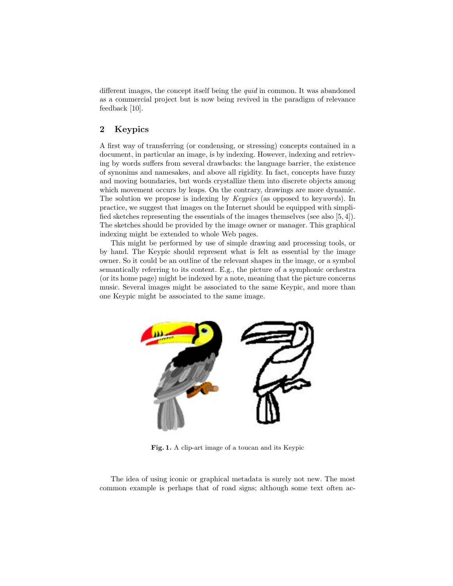different images, the concept itself being the quid in common. It was abandoned as a commercial project but is now being revived in the paradigm of relevance feedback [10].

# 2 Keypics

A first way of transferring (or condensing, or stressing) concepts contained in a document, in particular an image, is by indexing. However, indexing and retrieving by words suffers from several drawbacks: the language barrier, the existence of synonims and namesakes, and above all rigidity. In fact, concepts have fuzzy and moving boundaries, but words crystallize them into discrete objects among which movement occurs by leaps. On the contrary, drawings are more dynamic. The solution we propose is indexing by *Keypics* (as opposed to keywords). In practice, we suggest that images on the Internet should be equipped with simplified sketches representing the essentials of the images themselves (see also [5, 4]). The sketches should be provided by the image owner or manager. This graphical indexing might be extended to whole Web pages.

This might be performed by use of simple drawing and processing tools, or by hand. The Keypic should represent what is felt as essential by the image owner. So it could be an outline of the relevant shapes in the image, or a symbol semantically referring to its content. E.g., the picture of a symphonic orchestra (or its home page) might be indexed by a note, meaning that the picture concerns music. Several images might be associated to the same Keypic, and more than one Keypic might be associated to the same image.



Fig. 1. A clip-art image of a toucan and its Keypic

The idea of using iconic or graphical metadata is surely not new. The most common example is perhaps that of road signs; although some text often ac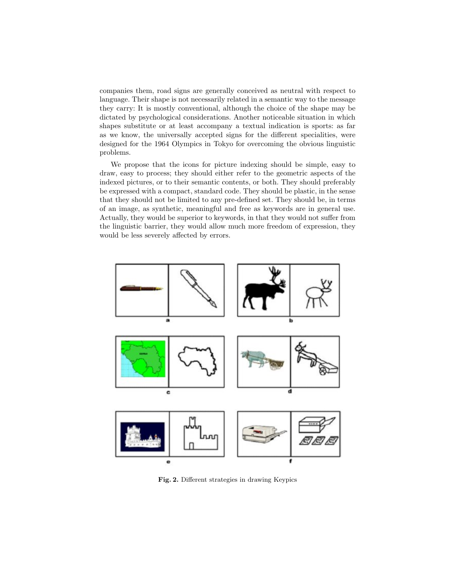companies them, road signs are generally conceived as neutral with respect to language. Their shape is not necessarily related in a semantic way to the message they carry: It is mostly conventional, although the choice of the shape may be dictated by psychological considerations. Another noticeable situation in which shapes substitute or at least accompany a textual indication is sports: as far as we know, the universally accepted signs for the different specialities, were designed for the 1964 Olympics in Tokyo for overcoming the obvious linguistic problems.

We propose that the icons for picture indexing should be simple, easy to draw, easy to process; they should either refer to the geometric aspects of the indexed pictures, or to their semantic contents, or both. They should preferably be expressed with a compact, standard code. They should be plastic, in the sense that they should not be limited to any pre-defined set. They should be, in terms of an image, as synthetic, meaningful and free as keywords are in general use. Actually, they would be superior to keywords, in that they would not suffer from the linguistic barrier, they would allow much more freedom of expression, they would be less severely affected by errors.



Fig. 2. Different strategies in drawing Keypics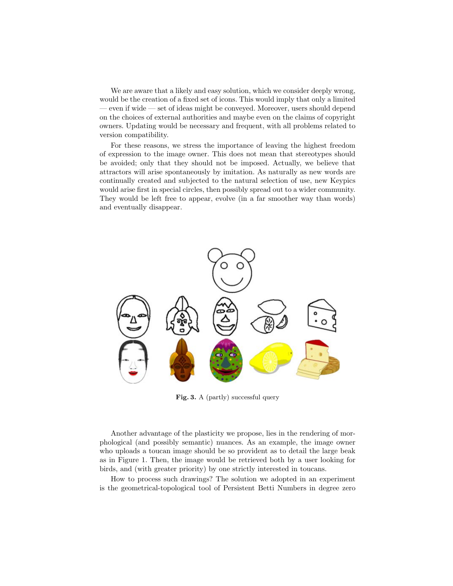We are aware that a likely and easy solution, which we consider deeply wrong, would be the creation of a fixed set of icons. This would imply that only a limited — even if wide — set of ideas might be conveyed. Moreover, users should depend on the choices of external authorities and maybe even on the claims of copyright owners. Updating would be necessary and frequent, with all problems related to version compatibility.

For these reasons, we stress the importance of leaving the highest freedom of expression to the image owner. This does not mean that stereotypes should be avoided; only that they should not be imposed. Actually, we believe that attractors will arise spontaneously by imitation. As naturally as new words are continually created and subjected to the natural selection of use, new Keypics would arise first in special circles, then possibly spread out to a wider community. They would be left free to appear, evolve (in a far smoother way than words) and eventually disappear.



Fig. 3. A (partly) successful query

Another advantage of the plasticity we propose, lies in the rendering of morphological (and possibly semantic) nuances. As an example, the image owner who uploads a toucan image should be so provident as to detail the large beak as in Figure 1. Then, the image would be retrieved both by a user looking for birds, and (with greater priority) by one strictly interested in toucans.

How to process such drawings? The solution we adopted in an experiment is the geometrical-topological tool of Persistent Betti Numbers in degree zero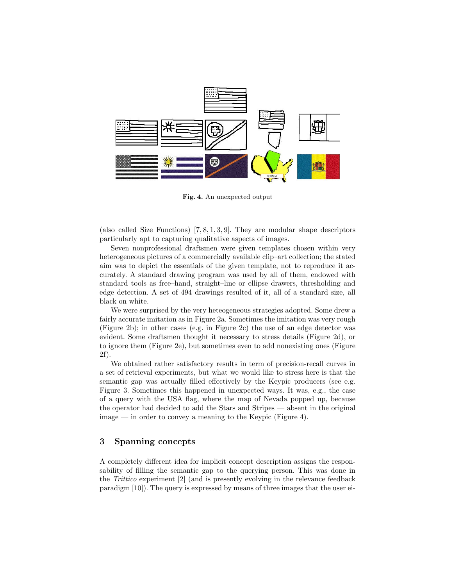

Fig. 4. An unexpected output

(also called Size Functions) [7, 8, 1, 3, 9]. They are modular shape descriptors particularly apt to capturing qualitative aspects of images.

Seven nonprofessional draftsmen were given templates chosen within very heterogeneous pictures of a commercially available clip–art collection; the stated aim was to depict the essentials of the given template, not to reproduce it accurately. A standard drawing program was used by all of them, endowed with standard tools as free–hand, straight–line or ellipse drawers, thresholding and edge detection. A set of 494 drawings resulted of it, all of a standard size, all black on white.

We were surprised by the very heteogeneous strategies adopted. Some drew a fairly accurate imitation as in Figure 2a. Sometimes the imitation was very rough (Figure 2b); in other cases (e.g. in Figure 2c) the use of an edge detector was evident. Some draftsmen thought it necessary to stress details (Figure 2d), or to ignore them (Figure 2e), but sometimes even to add nonexisting ones (Figure 2f).

We obtained rather satisfactory results in term of precision-recall curves in a set of retrieval experiments, but what we would like to stress here is that the semantic gap was actually filled effectively by the Keypic producers (see e.g. Figure 3. Sometimes this happened in unexpected ways. It was, e.g., the case of a query with the USA flag, where the map of Nevada popped up, because the operator had decided to add the Stars and Stripes — absent in the original image — in order to convey a meaning to the Keypic (Figure 4).

#### 3 Spanning concepts

A completely different idea for implicit concept description assigns the responsability of filling the semantic gap to the querying person. This was done in the Trittico experiment [2] (and is presently evolving in the relevance feedback paradigm [10]). The query is expressed by means of three images that the user ei-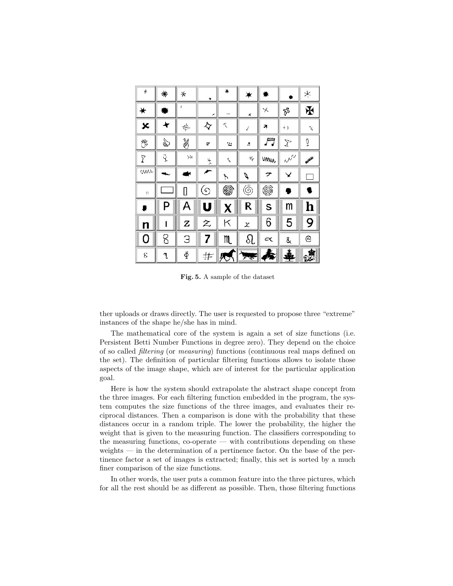| $\ast$ | ₩      | ⊁              | *                           | ₩             | ★                           |              |                        | ¥             |
|--------|--------|----------------|-----------------------------|---------------|-----------------------------|--------------|------------------------|---------------|
| ₩      | b.     |                | ↗                           |               | ×                           | $\times$     | P                      | 玉             |
| ×      | ۰      | ф.             | $\boldsymbol{\diamondsuit}$ | へ             | í                           | a            | $\leftrightarrow$      | Z,            |
| 憀      | 刍      | ¥              | <b>c</b>                    | $\ddot{ }$    | J)                          |              | $\mathcal{I}$          | Ō             |
| Ÿ      | q      | $\searrow$     | $\mathcal{N}$               | $\mathcal{F}$ | 4F                          | <b>UMAIN</b> | $\omega^{\mathcal{N}}$ | <b>WALKER</b> |
| ww     |        |                | ≁                           | r             | V                           | ァ            | ¥                      |               |
| $\Box$ |        | D              | ⊙                           | ◉             | ⊚                           | 6            | 9                      |               |
| ₽      | P      | A              | U                           | X             | R                           | S            | m                      | h             |
| n      | ı      | z              | 之                           | Κ             | X                           | 6            | 5                      | 9             |
| 0      | 8      | 3              | 7                           | m             | ୟ                           | $\propto$    | &                      | ⊚             |
| ε      | $\eta$ | $\tilde{\Phi}$ | 井                           | 穴             | $\mathcal{P}^{\mathcal{R}}$ | 惫            | 毒                      | 露             |

Fig. 5. A sample of the dataset

ther uploads or draws directly. The user is requested to propose three "extreme" instances of the shape he/she has in mind.

The mathematical core of the system is again a set of size functions (i.e. Persistent Betti Number Functions in degree zero). They depend on the choice of so called filtering (or measuring) functions (continuous real maps defined on the set). The definition of particular filtering functions allows to isolate those aspects of the image shape, which are of interest for the particular application goal.

Here is how the system should extrapolate the abstract shape concept from the three images. For each filtering function embedded in the program, the system computes the size functions of the three images, and evaluates their reciprocal distances. Then a comparison is done with the probability that these distances occur in a random triple. The lower the probability, the higher the weight that is given to the measuring function. The classifiers corresponding to the measuring functions, co-operate — with contributions depending on these weights — in the determination of a pertinence factor. On the base of the pertinence factor a set of images is extracted; finally, this set is sorted by a much finer comparison of the size functions.

In other words, the user puts a common feature into the three pictures, which for all the rest should be as different as possible. Then, those filtering functions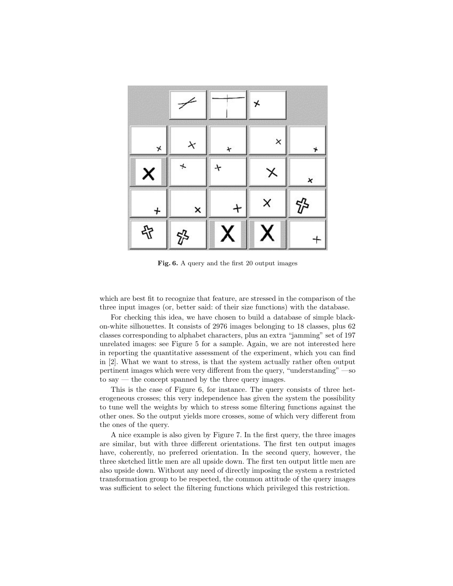|          | ۷ |   | ⊁        |   |
|----------|---|---|----------|---|
| $\star$  | × | × | $\times$ | * |
| ×        |   |   | ✕        | × |
| $\bm{+}$ | × |   | ×        |   |
| 吊        |   |   |          |   |

Fig. 6. A query and the first 20 output images

which are best fit to recognize that feature, are stressed in the comparison of the three input images (or, better said: of their size functions) with the database.

For checking this idea, we have chosen to build a database of simple blackon-white silhouettes. It consists of 2976 images belonging to 18 classes, plus 62 classes corresponding to alphabet characters, plus an extra "jamming" set of 197 unrelated images: see Figure 5 for a sample. Again, we are not interested here in reporting the quantitative assessment of the experiment, which you can find in [2]. What we want to stress, is that the system actually rather often output pertinent images which were very different from the query, "understanding" —so to say — the concept spanned by the three query images.

This is the case of Figure 6, for instance. The query consists of three heterogeneous crosses; this very independence has given the system the possibility to tune well the weights by which to stress some filtering functions against the other ones. So the output yields more crosses, some of which very different from the ones of the query.

A nice example is also given by Figure 7. In the first query, the three images are similar, but with three different orientations. The first ten output images have, coherently, no preferred orientation. In the second query, however, the three sketched little men are all upside down. The first ten output little men are also upside down. Without any need of directly imposing the system a restricted transformation group to be respected, the common attitude of the query images was sufficient to select the filtering functions which privileged this restriction.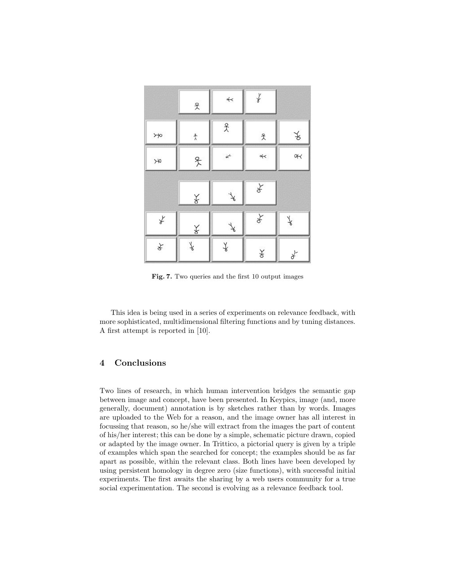|            | $\mathcal{R}$       | $\prec$ | $\chi$                |               |
|------------|---------------------|---------|-----------------------|---------------|
| $\rtimes$  | $\uparrow$          | $\chi$  | $\mathcal{\tilde{X}}$ | ¥             |
| $\searrow$ | 4                   | $\star$ | $\prec$               | oK            |
|            | $\frac{1}{\lambda}$ | ¥       | ¥                     |               |
| ¥          | $\mathbb X$         | ¥       | z                     | $\vec{\star}$ |
| z          | $\star$             | ≰       | X                     | ¥             |

Fig. 7. Two queries and the first 10 output images

This idea is being used in a series of experiments on relevance feedback, with more sophisticated, multidimensional filtering functions and by tuning distances. A first attempt is reported in [10].

## 4 Conclusions

Two lines of research, in which human intervention bridges the semantic gap between image and concept, have been presented. In Keypics, image (and, more generally, document) annotation is by sketches rather than by words. Images are uploaded to the Web for a reason, and the image owner has all interest in focussing that reason, so he/she will extract from the images the part of content of his/her interest; this can be done by a simple, schematic picture drawn, copied or adapted by the image owner. In Trittico, a pictorial query is given by a triple of examples which span the searched for concept; the examples should be as far apart as possible, within the relevant class. Both lines have been developed by using persistent homology in degree zero (size functions), with successful initial experiments. The first awaits the sharing by a web users community for a true social experimentation. The second is evolving as a relevance feedback tool.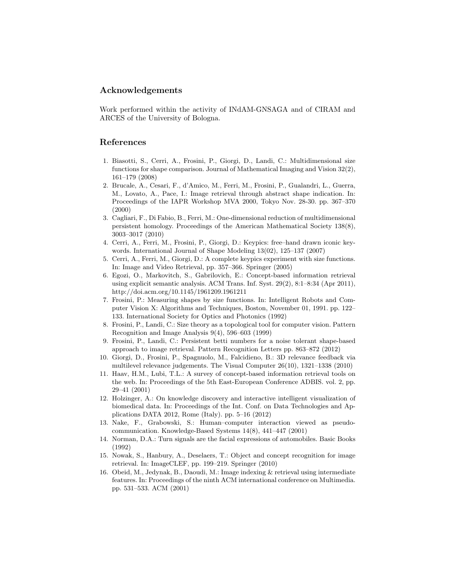#### Acknowledgements

Work performed within the activity of INdAM-GNSAGA and of CIRAM and ARCES of the University of Bologna.

## References

- 1. Biasotti, S., Cerri, A., Frosini, P., Giorgi, D., Landi, C.: Multidimensional size functions for shape comparison. Journal of Mathematical Imaging and Vision 32(2), 161–179 (2008)
- 2. Brucale, A., Cesari, F., d'Amico, M., Ferri, M., Frosini, P., Gualandri, L., Guerra, M., Lovato, A., Pace, I.: Image retrieval through abstract shape indication. In: Proceedings of the IAPR Workshop MVA 2000, Tokyo Nov. 28-30. pp. 367–370 (2000)
- 3. Cagliari, F., Di Fabio, B., Ferri, M.: One-dimensional reduction of multidimensional persistent homology. Proceedings of the American Mathematical Society 138(8), 3003–3017 (2010)
- 4. Cerri, A., Ferri, M., Frosini, P., Giorgi, D.: Keypics: free–hand drawn iconic keywords. International Journal of Shape Modeling 13(02), 125–137 (2007)
- 5. Cerri, A., Ferri, M., Giorgi, D.: A complete keypics experiment with size functions. In: Image and Video Retrieval, pp. 357–366. Springer (2005)
- 6. Egozi, O., Markovitch, S., Gabrilovich, E.: Concept-based information retrieval using explicit semantic analysis. ACM Trans. Inf. Syst. 29(2), 8:1–8:34 (Apr 2011), http://doi.acm.org/10.1145/1961209.1961211
- 7. Frosini, P.: Measuring shapes by size functions. In: Intelligent Robots and Computer Vision X: Algorithms and Techniques, Boston, November 01, 1991. pp. 122– 133. International Society for Optics and Photonics (1992)
- 8. Frosini, P., Landi, C.: Size theory as a topological tool for computer vision. Pattern Recognition and Image Analysis 9(4), 596–603 (1999)
- 9. Frosini, P., Landi, C.: Persistent betti numbers for a noise tolerant shape-based approach to image retrieval. Pattern Recognition Letters pp. 863–872 (2012)
- 10. Giorgi, D., Frosini, P., Spagnuolo, M., Falcidieno, B.: 3D relevance feedback via multilevel relevance judgements. The Visual Computer 26(10), 1321–1338 (2010)
- 11. Haav, H.M., Lubi, T.L.: A survey of concept-based information retrieval tools on the web. In: Proceedings of the 5th East-European Conference ADBIS. vol. 2, pp. 29–41 (2001)
- 12. Holzinger, A.: On knowledge discovery and interactive intelligent visualization of biomedical data. In: Proceedings of the Int. Conf. on Data Technologies and Applications DATA 2012, Rome (Italy). pp. 5–16 (2012)
- 13. Nake, F., Grabowski, S.: Human–computer interaction viewed as pseudocommunication. Knowledge-Based Systems 14(8), 441–447 (2001)
- 14. Norman, D.A.: Turn signals are the facial expressions of automobiles. Basic Books (1992)
- 15. Nowak, S., Hanbury, A., Deselaers, T.: Object and concept recognition for image retrieval. In: ImageCLEF, pp. 199–219. Springer (2010)
- 16. Obeid, M., Jedynak, B., Daoudi, M.: Image indexing & retrieval using intermediate features. In: Proceedings of the ninth ACM international conference on Multimedia. pp. 531–533. ACM (2001)